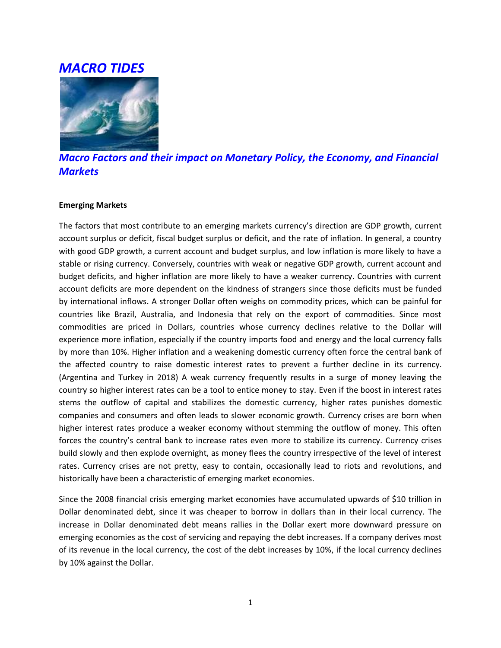# *MACRO TIDES*



*Macro Factors and their impact on Monetary Policy, the Economy, and Financial Markets*

### **Emerging Markets**

The factors that most contribute to an emerging markets currency's direction are GDP growth, current account surplus or deficit, fiscal budget surplus or deficit, and the rate of inflation. In general, a country with good GDP growth, a current account and budget surplus, and low inflation is more likely to have a stable or rising currency. Conversely, countries with weak or negative GDP growth, current account and budget deficits, and higher inflation are more likely to have a weaker currency. Countries with current account deficits are more dependent on the kindness of strangers since those deficits must be funded by international inflows. A stronger Dollar often weighs on commodity prices, which can be painful for countries like Brazil, Australia, and Indonesia that rely on the export of commodities. Since most commodities are priced in Dollars, countries whose currency declines relative to the Dollar will experience more inflation, especially if the country imports food and energy and the local currency falls by more than 10%. Higher inflation and a weakening domestic currency often force the central bank of the affected country to raise domestic interest rates to prevent a further decline in its currency. (Argentina and Turkey in 2018) A weak currency frequently results in a surge of money leaving the country so higher interest rates can be a tool to entice money to stay. Even if the boost in interest rates stems the outflow of capital and stabilizes the domestic currency, higher rates punishes domestic companies and consumers and often leads to slower economic growth. Currency crises are born when higher interest rates produce a weaker economy without stemming the outflow of money. This often forces the country's central bank to increase rates even more to stabilize its currency. Currency crises build slowly and then explode overnight, as money flees the country irrespective of the level of interest rates. Currency crises are not pretty, easy to contain, occasionally lead to riots and revolutions, and historically have been a characteristic of emerging market economies.

Since the 2008 financial crisis emerging market economies have accumulated upwards of \$10 trillion in Dollar denominated debt, since it was cheaper to borrow in dollars than in their local currency. The increase in Dollar denominated debt means rallies in the Dollar exert more downward pressure on emerging economies as the cost of servicing and repaying the debt increases. If a company derives most of its revenue in the local currency, the cost of the debt increases by 10%, if the local currency declines by 10% against the Dollar.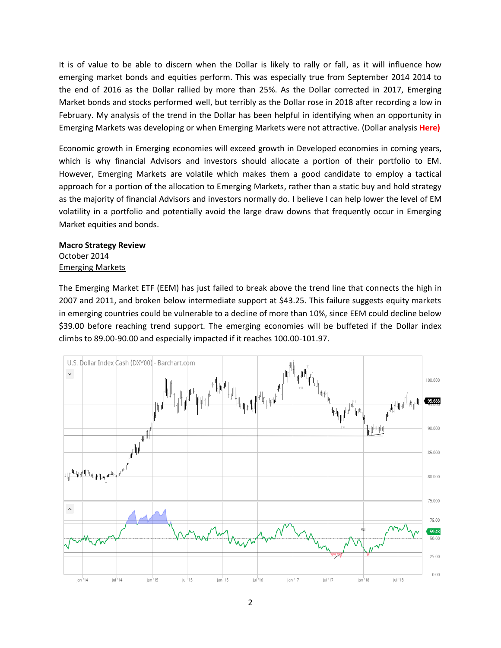It is of value to be able to discern when the Dollar is likely to rally or fall, as it will influence how emerging market bonds and equities perform. This was especially true from September 2014 2014 to the end of 2016 as the Dollar rallied by more than 25%. As the Dollar corrected in 2017, Emerging Market bonds and stocks performed well, but terribly as the Dollar rose in 2018 after recording a low in February. My analysis of the trend in the Dollar has been helpful in identifying when an opportunity in Emerging Markets was developing or when Emerging Markets were not attractive. (Dollar analysis **Here)**

Economic growth in Emerging economies will exceed growth in Developed economies in coming years, which is why financial Advisors and investors should allocate a portion of their portfolio to EM. However, Emerging Markets are volatile which makes them a good candidate to employ a tactical approach for a portion of the allocation to Emerging Markets, rather than a static buy and hold strategy as the majority of financial Advisors and investors normally do. I believe I can help lower the level of EM volatility in a portfolio and potentially avoid the large draw downs that frequently occur in Emerging Market equities and bonds.

### **Macro Strategy Review** October 2014 Emerging Markets

The Emerging Market ETF (EEM) has just failed to break above the trend line that connects the high in 2007 and 2011, and broken below intermediate support at \$43.25. This failure suggests equity markets in emerging countries could be vulnerable to a decline of more than 10%, since EEM could decline below \$39.00 before reaching trend support. The emerging economies will be buffeted if the Dollar index climbs to 89.00-90.00 and especially impacted if it reaches 100.00-101.97.

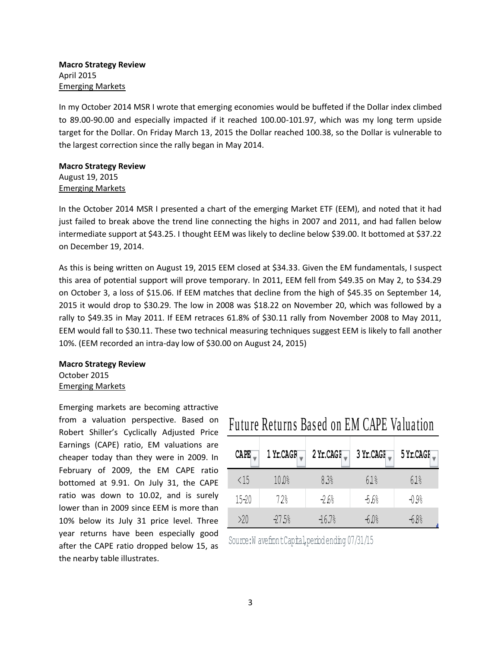### **Macro Strategy Review** April 2015 Emerging Markets

In my October 2014 MSR I wrote that emerging economies would be buffeted if the Dollar index climbed to 89.00-90.00 and especially impacted if it reached 100.00-101.97, which was my long term upside target for the Dollar. On Friday March 13, 2015 the Dollar reached 100.38, so the Dollar is vulnerable to the largest correction since the rally began in May 2014.

### **Macro Strategy Review** August 19, 2015 Emerging Markets

In the October 2014 MSR I presented a chart of the emerging Market ETF (EEM), and noted that it had just failed to break above the trend line connecting the highs in 2007 and 2011, and had fallen below intermediate support at \$43.25. I thought EEM was likely to decline below \$39.00. It bottomed at \$37.22 on December 19, 2014.

As this is being written on August 19, 2015 EEM closed at \$34.33. Given the EM fundamentals, I suspect this area of potential support will prove temporary. In 2011, EEM fell from \$49.35 on May 2, to \$34.29 on October 3, a loss of \$15.06. If EEM matches that decline from the high of \$45.35 on September 14, 2015 it would drop to \$30.29. The low in 2008 was \$18.22 on November 20, which was followed by a rally to \$49.35 in May 2011. If EEM retraces 61.8% of \$30.11 rally from November 2008 to May 2011, EEM would fall to \$30.11. These two technical measuring techniques suggest EEM is likely to fall another 10%. (EEM recorded an intra-day low of \$30.00 on August 24, 2015)

### **Macro Strategy Review** October 2015 Emerging Markets

Emerging markets are becoming attractive from a valuation perspective. Based on Robert Shiller's Cyclically Adjusted Price Earnings (CAPE) ratio, EM valuations are cheaper today than they were in 2009. In February of 2009, the EM CAPE ratio bottomed at 9.91. On July 31, the CAPE ratio was down to 10.02, and is surely lower than in 2009 since EEM is more than 10% below its July 31 price level. Three year returns have been especially good after the CAPE ratio dropped below 15, as the nearby table illustrates.

# Future Returns Based on EM CAPE Valuation

| <b>CAPE</b>  | $1$ Yr.CAGF | 2 Yr.CAGI, | 3 Yr.CAGI | 5 Yr.CAGI |
|--------------|-------------|------------|-----------|-----------|
| $\langle 15$ | 10.0%       | 83%        | 61%       | 61%       |
| $15 - 20$    | 72%         | $-2.6%$    | $-5.6%$   | $-0.9%$   |
| >20          | $-27.5%$    | $-16.7%$   | $-60%$    | -6.8%     |

Source: W avefront Capital, period ending 07/31/15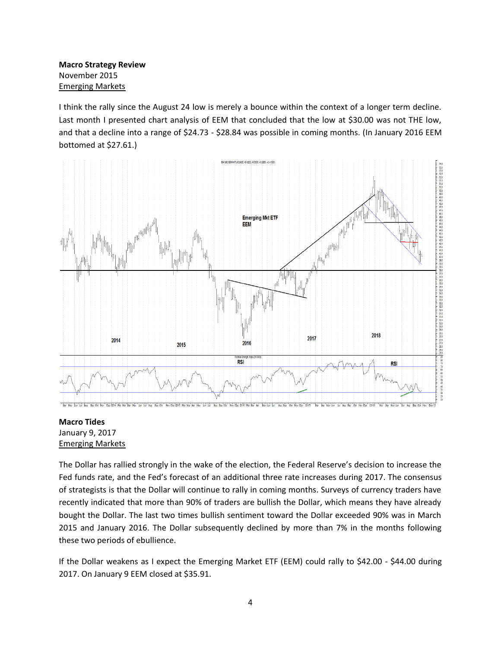**Macro Strategy Review** November 2015 Emerging Markets

I think the rally since the August 24 low is merely a bounce within the context of a longer term decline. Last month I presented chart analysis of EEM that concluded that the low at \$30.00 was not THE low, and that a decline into a range of \$24.73 - \$28.84 was possible in coming months. (In January 2016 EEM bottomed at \$27.61.)



### **Macro Tides** January 9, 2017 Emerging Markets

The Dollar has rallied strongly in the wake of the election, the Federal Reserve's decision to increase the Fed funds rate, and the Fed's forecast of an additional three rate increases during 2017. The consensus of strategists is that the Dollar will continue to rally in coming months. Surveys of currency traders have recently indicated that more than 90% of traders are bullish the Dollar, which means they have already bought the Dollar. The last two times bullish sentiment toward the Dollar exceeded 90% was in March 2015 and January 2016. The Dollar subsequently declined by more than 7% in the months following these two periods of ebullience.

If the Dollar weakens as I expect the Emerging Market ETF (EEM) could rally to \$42.00 - \$44.00 during 2017. On January 9 EEM closed at \$35.91.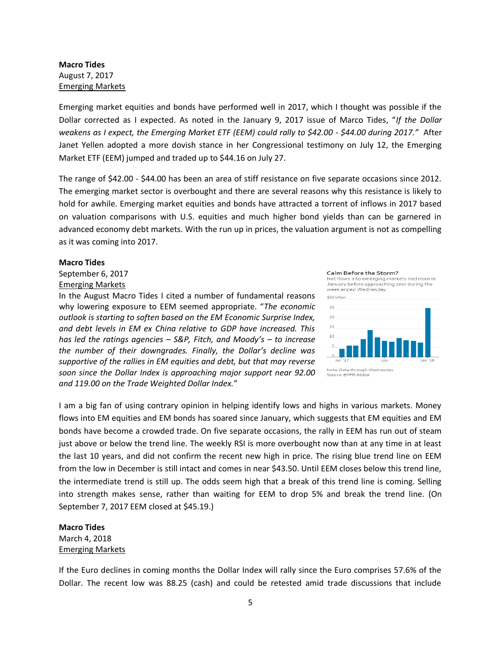### **Macro Tides** August 7, 2017 Emerging Markets

Emerging market equities and bonds have performed well in 2017, which I thought was possible if the Dollar corrected as I expected. As noted in the January 9, 2017 issue of Marco Tides, "*If the Dollar weakens as I expect, the Emerging Market ETF (EEM) could rally to \$42.00 - \$44.00 during 2017."* After Janet Yellen adopted a more dovish stance in her Congressional testimony on July 12, the Emerging Market ETF (EEM) jumped and traded up to \$44.16 on July 27.

The range of \$42.00 - \$44.00 has been an area of stiff resistance on five separate occasions since 2012. The emerging market sector is overbought and there are several reasons why this resistance is likely to hold for awhile. Emerging market equities and bonds have attracted a torrent of inflows in 2017 based on valuation comparisons with U.S. equities and much higher bond yields than can be garnered in advanced economy debt markets. With the run up in prices, the valuation argument is not as compelling as it was coming into 2017.

#### **Macro Tides**

### September 6, 2017 Emerging Markets

In the August Macro Tides I cited a number of fundamental reasons why lowering exposure to EEM seemed appropriate. "*The economic outlook is starting to soften based on the EM Economic Surprise Index, and debt levels in EM ex China relative to GDP have increased. This has led the ratings agencies – S&P, Fitch, and Moody's – to increase the number of their downgrades. Finally, the Dollar's decline was supportive of the rallies in EM equities and debt, but that may reverse soon since the Dollar Index is approaching major support near 92.00 and 119.00 on the Trade Weighted Dollar Index.*"

Calm Before the Storm?

Net flows into emerging markets had risen in January before approaching zero during the week ended Wednesday



I am a big fan of using contrary opinion in helping identify lows and highs in various markets. Money flows into EM equities and EM bonds has soared since January, which suggests that EM equities and EM bonds have become a crowded trade. On five separate occasions, the rally in EEM has run out of steam just above or below the trend line. The weekly RSI is more overbought now than at any time in at least the last 10 years, and did not confirm the recent new high in price. The rising blue trend line on EEM from the low in December is still intact and comes in near \$43.50. Until EEM closes below this trend line, the intermediate trend is still up. The odds seem high that a break of this trend line is coming. Selling into strength makes sense, rather than waiting for EEM to drop 5% and break the trend line. (On September 7, 2017 EEM closed at \$45.19.)

## **Macro Tides** March 4, 2018 Emerging Markets

If the Euro declines in coming months the Dollar Index will rally since the Euro comprises 57.6% of the Dollar. The recent low was 88.25 (cash) and could be retested amid trade discussions that include